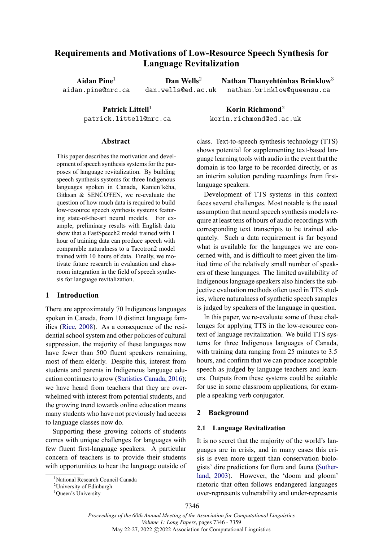# **Requirements and Motivations of Low-Resource Speech Synthesis for Language Revitalization**

**Aidan Pine**<sup>1</sup> aidan.pine@nrc.ca

**Dan Wells**<sup>2</sup> dan.wells@ed.ac.uk

Patrick Littell<sup>1</sup> patrick.littell@nrc.ca

#### **Abstract**

This paper describes the motivation and development of speech synthesis systems for the purposes of language revitalization. By building speech synthesis systems for three Indigenous languages spoken in Canada, Kanien'kéha, Gitksan & SENĆOŦEN, we re-evaluate the question of how much data is required to build low-resource speech synthesis systems featuring state-of-the-art neural models. For example, preliminary results with English data show that a FastSpeech2 model trained with 1 hour of training data can produce speech with comparable naturalness to a Tacotron2 model trained with 10 hours of data. Finally, we motivate future research in evaluation and classroom integration in the field of speech synthesis for language revitalization.

# **1 Introduction**

There are approximately 70 Indigenous languages spoken in Canada, from 10 distinct language families [\(Rice,](#page-10-0) [2008\)](#page-10-0). As a consequence of the residential school system and other policies of cultural suppression, the majority of these languages now have fewer than 500 fluent speakers remaining, most of them elderly. Despite this, interest from students and parents in Indigenous language education continues to grow [\(Statistics Canada,](#page-10-1) [2016\)](#page-10-1); we have heard from teachers that they are overwhelmed with interest from potential students, and the growing trend towards online education means many students who have not previously had access to language classes now do.

Supporting these growing cohorts of students comes with unique challenges for languages with few fluent first-language speakers. A particular concern of teachers is to provide their students with opportunities to hear the language outside of

**Korin Richmond**<sup>2</sup> korin.richmond@ed.ac.uk

class. Text-to-speech synthesis technology (TTS) shows potential for supplementing text-based language learning tools with audio in the event that the domain is too large to be recorded directly, or as an interim solution pending recordings from firstlanguage speakers.

**Nathan Thanyehténhas Brinklow**<sup>3</sup> nathan.brinklow@queensu.ca

Development of TTS systems in this context faces several challenges. Most notable is the usual assumption that neural speech synthesis models require at least tens of hours of audio recordings with corresponding text transcripts to be trained adequately. Such a data requirement is far beyond what is available for the languages we are concerned with, and is difficult to meet given the limited time of the relatively small number of speakers of these languages. The limited availability of Indigenous language speakers also hinders the subjective evaluation methods often used in TTS studies, where naturalness of synthetic speech samples is judged by speakers of the language in question.

In this paper, we re-evaluate some of these challenges for applying TTS in the low-resource context of language revitalization. We build TTS systems for three Indigenous languages of Canada, with training data ranging from 25 minutes to 3.5 hours, and confirm that we can produce acceptable speech as judged by language teachers and learners. Outputs from these systems could be suitable for use in some classroom applications, for example a speaking verb conjugator.

### **2 Background**

#### <span id="page-0-0"></span>**2.1 Language Revitalization**

It is no secret that the majority of the world's languages are in crisis, and in many cases this crisis is even more urgent than conservation biologists' dire predictions for flora and fauna [\(Suther](#page-10-2)[land,](#page-10-2) [2003\)](#page-10-2). However, the 'doom and gloom' rhetoric that often follows endangered languages over-represents vulnerability and under-represents

<sup>&</sup>lt;sup>1</sup>National Research Council Canada

<sup>&</sup>lt;sup>2</sup>University of Edinburgh

<sup>&</sup>lt;sup>3</sup>Queen's University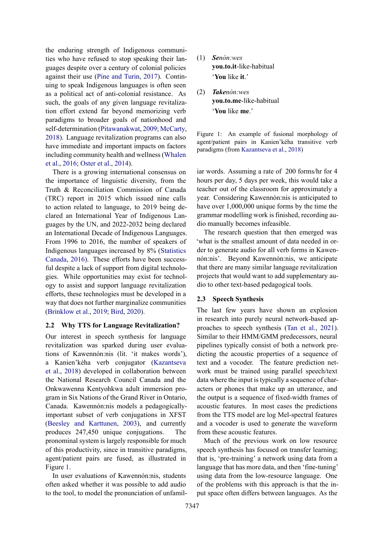the enduring strength of Indigenous communities who have refused to stop speaking their languages despite over a century of colonial policies against their use [\(Pine and Turin,](#page-10-3) [2017\)](#page-10-3). Continuing to speak Indigenous languages is often seen as a political act of anti-colonial resistance. As such, the goals of any given language revitalization effort extend far beyond memorizing verb paradigms to broader goals of nationhood and self-determination [\(Pitawanakwat,](#page-10-4) [2009;](#page-10-4) [McCarty,](#page-10-5) [2018\)](#page-10-5). Language revitalization programs can also have immediate and important impacts on factors including community health and wellness [\(Whalen](#page-11-0) [et al.,](#page-11-0) [2016;](#page-11-0) [Oster et al.,](#page-10-6) [2014\)](#page-10-6).

There is a growing international consensus on the importance of linguistic diversity, from the Truth & Reconciliation Commission of Canada (TRC) report in 2015 which issued nine calls to action related to language, to 2019 being declared an International Year of Indigenous Languages by the UN, and 2022-2032 being declared an International Decade of Indigenous Languages. From 1996 to 2016, the number of speakers of Indigenous languages increased by 8% [\(Statistics](#page-10-1) [Canada,](#page-10-1) [2016\)](#page-10-1). These efforts have been successful despite a lack of support from digital technologies. While opportunities may exist for technology to assist and support language revitalization efforts, these technologies must be developed in a way that does not further marginalize communities [\(Brinklow et al.,](#page-9-0) [2019;](#page-9-0) [Bird,](#page-8-0) [2020\)](#page-8-0).

# **2.2 Why TTS for Language Revitalization?**

Our interest in speech synthesis for language revitalization was sparked during user evaluations of Kawennón:nis (lit. 'it makes words'), a Kanien'kéha verb conjugator [\(Kazantseva](#page-9-1) [et al.,](#page-9-1) [2018\)](#page-9-1) developed in collaboration between the National Research Council Canada and the Onkwawenna Kentyohkwa adult immersion program in Six Nations of the Grand River in Ontario, Canada. Kawennón:nis models a pedagogicallyimportant subset of verb conjugations in XFST [\(Beesley and Karttunen,](#page-8-1) [2003\)](#page-8-1), and currently produces 247,450 unique conjugations. The pronominal system is largely responsible for much of this productivity, since in transitive paradigms, agent/patient pairs are fused, as illustrated in Figure [1.](#page-1-0)

In user evaluations of Kawennón:nis, students often asked whether it was possible to add audio to the tool, to model the pronunciation of unfamil-

- <span id="page-1-0"></span>(1) *Senòn:wes* **you.to.it**-like-habitual '**You** like **it**.'
- (2) *Takenòn:wes* **you.to.me**-like-habitual '**You** like **me**.'

Figure 1: An example of fusional morphology of agent/patient pairs in Kanien'kéha transitive verb paradigms (from [Kazantseva et al.,](#page-9-1) [2018\)](#page-9-1)

iar words. Assuming a rate of 200 forms/hr for 4 hours per day, 5 days per week, this would take a teacher out of the classroom for approximately a year. Considering Kawennón:nis is anticipated to have over 1,000,000 unique forms by the time the grammar modelling work is finished, recording audio manually becomes infeasible.

The research question that then emerged was 'what is the smallest amount of data needed in order to generate audio for all verb forms in Kawennón:nis'. Beyond Kawennón:nis, we anticipate that there are many similar language revitalization projects that would want to add supplementary audio to other text-based pedagogical tools.

# <span id="page-1-1"></span>**2.3 Speech Synthesis**

The last few years have shown an explosion in research into purely neural network-based approaches to speech synthesis [\(Tan et al.,](#page-10-7) [2021\)](#page-10-7). Similar to their HMM/GMM predecessors, neural pipelines typically consist of both a network predicting the acoustic properties of a sequence of text and a vocoder. The feature prediction network must be trained using parallel speech/text data where the input is typically a sequence of characters or phones that make up an utterance, and the output is a sequence of fixed-width frames of acoustic features. In most cases the predictions from the TTS model are log Mel-spectral features and a vocoder is used to generate the waveform from these acoustic features.

Much of the previous work on low resource speech synthesis has focused on transfer learning; that is, 'pre-training' a network using data from a language that has more data, and then 'fine-tuning' using data from the low-resource language. One of the problems with this approach is that the input space often differs between languages. As the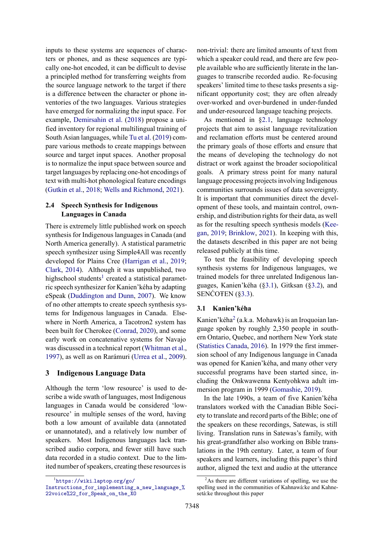inputs to these systems are sequences of characters or phones, and as these sequences are typically one-hot encoded, it can be difficult to devise a principled method for transferring weights from the source language network to the target if there is a difference between the character or phone inventories of the two languages. Various strategies have emerged for normalizing the input space. For example, [Demirsahin et al.](#page-9-2) [\(2018\)](#page-9-2) propose a unified inventory for regional multilingual training of South Asian languages, while [Tu et al.](#page-11-1) [\(2019\)](#page-11-1) compare various methods to create mappings between source and target input spaces. Another proposal is to normalize the input space between source and target languages by replacing one-hot encodings of text with multi-hot phonological feature encodings [\(Gutkin et al.,](#page-9-3) [2018;](#page-9-3) [Wells and Richmond,](#page-11-2) [2021\)](#page-11-2).

## **2.4 Speech Synthesis for Indigenous Languages in Canada**

There is extremely little published work on speech synthesis for Indigenous languages in Canada (and North America generally). A statistical parametric speech synthesizer using Simple4All was recently developed for Plains Cree [\(Harrigan et al.,](#page-9-4) [2019;](#page-9-4) [Clark,](#page-9-5) [2014\)](#page-9-5). Although it was unpublished, two highschool students<sup>1</sup> created a statistical parametric speech synthesizer for Kanien'kéha by adapting eSpeak [\(Duddington and Dunn,](#page-9-6) [2007\)](#page-9-6). We know of no other attempts to create speech synthesis systems for Indigenous languages in Canada. Elsewhere in North America, a Tacotron2 system has been built for Cherokee [\(Conrad,](#page-9-7) [2020\)](#page-9-7), and some early work on concatenative systems for Navajo was discussed in a technical report [\(Whitman et al.,](#page-11-3) [1997\)](#page-11-3), as well as on Rarámuri [\(Urrea et al.,](#page-11-4) [2009\)](#page-11-4).

# <span id="page-2-1"></span>**3 Indigenous Language Data**

Although the term 'low resource' is used to describe a wide swath of languages, most Indigenous languages in Canada would be considered 'lowresource' in multiple senses of the word, having both a low amount of available data (annotated or unannotated), and a relatively low number of speakers. Most Indigenous languages lack transcribed audio corpora, and fewer still have such data recorded in a studio context. Due to the limited number of speakers, creating these resources is

non-trivial: there are limited amounts of text from which a speaker could read, and there are few people available who are sufficiently literate in the languages to transcribe recorded audio. Re-focusing speakers' limited time to these tasks presents a significant opportunity cost; they are often already over-worked and over-burdened in under-funded and under-resourced language teaching projects.

As mentioned in [§2.1,](#page-0-0) language technology projects that aim to assist language revitalization and reclamation efforts must be centered around the primary goals of those efforts and ensure that the means of developing the technology do not distract or work against the broader sociopolitical goals. A primary stress point for many natural language processing projects involving Indigenous communities surrounds issues of data sovereignty. It is important that communities direct the development of these tools, and maintain control, ownership, and distribution rights for their data, as well as for the resulting speech synthesis models [\(Kee](#page-9-8)[gan,](#page-9-8) [2019;](#page-9-8) [Brinklow,](#page-9-9) [2021\)](#page-9-9). In keeping with this, the datasets described in this paper are not being released publicly at this time.

To test the feasibility of developing speech synthesis systems for Indigenous languages, we trained models for three unrelated Indigenous languages, Kanien'kéha ([§3.1\)](#page-2-0), Gitksan ([§3.2\)](#page-3-0), and SENCOTEN ([§3.3\)](#page-3-1).

### <span id="page-2-0"></span>**3.1 Kanien'kéha**

Kanien'kéha<sup>2</sup> (a.k.a. Mohawk) is an Iroquoian language spoken by roughly 2,350 people in southern Ontario, Quebec, and northern New York state [\(Statistics Canada,](#page-10-1) [2016\)](#page-10-1). In 1979 the first immersion school of any Indigenous language in Canada was opened for Kanien'kéha, and many other very successful programs have been started since, including the Onkwawenna Kentyohkwa adult immersion program in 1999 [\(Gomashie,](#page-9-10) [2019\)](#page-9-10).

In the late 1990s, a team of five Kanien'kéha translators worked with the Canadian Bible Society to translate and record parts of the Bible; one of the speakers on these recordings, Satewas, is still living. Translation runs in Satewas's family, with his great-grandfather also working on Bible translations in the 19th century. Later, a team of four speakers and learners, including this paper's third author, aligned the text and audio at the utterance

<sup>1</sup> [https://wiki](https://wiki.laptop.org/go/Instructions_for_implementing_a_new_language_%22voice%22_for_Speak_on_the_XO)*.*laptop*.*org/go/

[Instructions\\_for\\_implementing\\_a\\_new\\_language\\_%](https://wiki.laptop.org/go/Instructions_for_implementing_a_new_language_%22voice%22_for_Speak_on_the_XO) [22voice%22\\_for\\_Speak\\_on\\_the\\_XO](https://wiki.laptop.org/go/Instructions_for_implementing_a_new_language_%22voice%22_for_Speak_on_the_XO)

 $2$ As there are different variations of spelling, we use the spelling used in the communities of Kahnawà:ke and Kahnesetà:ke throughout this paper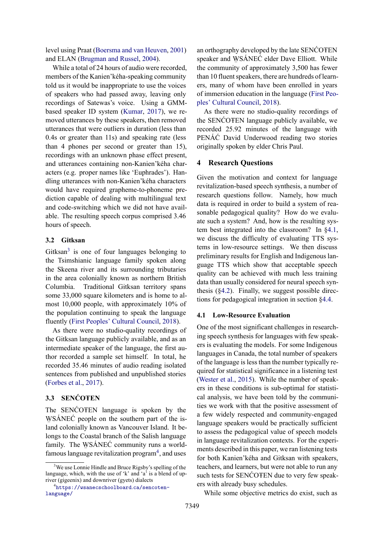level using Praat [\(Boersma and van Heuven,](#page-8-2) [2001\)](#page-8-2) and ELAN [\(Brugman and Russel,](#page-9-11) [2004\)](#page-9-11).

While a total of 24 hours of audio were recorded, members of the Kanien'kéha-speaking community told us it would be inappropriate to use the voices of speakers who had passed away, leaving only recordings of Satewas's voice. Using a GMMbased speaker ID system [\(Kumar,](#page-10-8) [2017\)](#page-10-8), we removed utterances by these speakers, then removed utterances that were outliers in duration (less than 0.4s or greater than 11s) and speaking rate (less than 4 phones per second or greater than 15), recordings with an unknown phase effect present, and utterances containing non-Kanien'kéha characters (e.g. proper names like 'Euphrades'). Handling utterances with non-Kanien'kéha characters would have required grapheme-to-phoneme prediction capable of dealing with multilingual text and code-switching which we did not have available. The resulting speech corpus comprised 3.46 hours of speech.

## <span id="page-3-0"></span>**3.2 Gitksan**

Gitksan $3$  is one of four languages belonging to the Tsimshianic language family spoken along the Skeena river and its surrounding tributaries in the area colonially known as northern British Columbia. Traditional Gitksan territory spans some 33,000 square kilometers and is home to almost 10,000 people, with approximately 10% of the population continuing to speak the language fluently [\(First Peoples' Cultural Council,](#page-9-12) [2018\)](#page-9-12).

As there were no studio-quality recordings of the Gitksan language publicly available, and as an intermediate speaker of the language, the first author recorded a sample set himself. In total, he recorded 35.46 minutes of audio reading isolated sentences from published and unpublished stories [\(Forbes et al.,](#page-9-13) [2017\)](#page-9-13).

# <span id="page-3-1"></span>**3.3 SENĆOŦEN**

The SENCOTEN language is spoken by the W SÁNEĆ people on the southern part of the isand colonially known as Vancouver Island. It belongs to the Coastal branch of the Salish language family. The W SÁNEĆ community runs a world $f_{\text{amn}}$ ,  $f_{\text{max}}$  is a vector famous language revitalization program<sup>4</sup>, and uses

an orthography developed by the late SENĆOŦEN speaker and W SÁNEĆ elder Dave Elliott. While the community of approximately 3,500 has fewer than 10 fluent speakers, there are hundreds of learners, many of whom have been enrolled in years of immersion education in the language [\(First Peo](#page-9-12)[ples' Cultural Council,](#page-9-12) [2018\)](#page-9-12).

As there were no studio-quality recordings of the SENCOTEN language publicly available, we recorded 25.92 minutes of the language with PENÁĆ David Underwood reading two stories originally spoken by elder Chris Paul.

### **4 Research Questions**

Given the motivation and context for language revitalization-based speech synthesis, a number of research questions follow. Namely, how much data is required in order to build a system of reasonable pedagogical quality? How do we evaluate such a system? And, how is the resulting system best integrated into the classroom? In [§4.1,](#page-3-2) we discuss the difficulty of evaluating TTS systems in low-resource settings. We then discuss preliminary results for English and Indigenous language TTS which show that acceptable speech quality can be achieved with much less training data than usually considered for neural speech synthesis  $(\S4.2)$ . Finally, we suggest possible directions for pedagogical integration in section [§4.4.](#page-7-0)

#### <span id="page-3-2"></span>**4.1 Low-Resource Evaluation**

One of the most significant challenges in researching speech synthesis for languages with few speakers is evaluating the models. For some Indigenous languages in Canada, the total number of speakers of the language is less than the number typically required for statistical significance in a listening test [\(Wester et al.,](#page-11-5) [2015\)](#page-11-5). While the number of speakers in these conditions is sub-optimal for statistical analysis, we have been told by the communities we work with that the positive assessment of a few widely respected and community-engaged language speakers would be practically sufficient to assess the pedagogical value of speech models in language revitalization contexts. For the experiments described in this paper, we ran listening tests for both Kanien'kéha and Gitksan with speakers, teachers, and learners, but were not able to run any such tests for SENĆOŦEN due to very few speakers with already busy schedules.

While some objective metrics do exist, such as

<sup>&</sup>lt;sup>3</sup>We use Lonnie Hindle and Bruce Rigsby's spelling of the language, which, with the use of 'k' and 'a' is a blend of upriver (gigeenix) and downriver (gyets) dialects

<sup>4</sup> [https://wsanecschoolboard](https://wsanecschoolboard.ca/sencoten-language/)*.*ca/sencoten[language/](https://wsanecschoolboard.ca/sencoten-language/)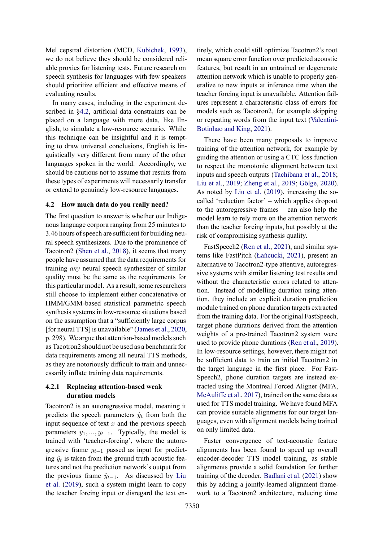Mel cepstral distortion (MCD, [Kubichek,](#page-10-9) [1993\)](#page-10-9), we do not believe they should be considered reliable proxies for listening tests. Future research on speech synthesis for languages with few speakers should prioritize efficient and effective means of evaluating results.

In many cases, including in the experiment described in [§4.2,](#page-4-0) artificial data constraints can be placed on a language with more data, like English, to simulate a low-resource scenario. While this technique can be insightful and it is tempting to draw universal conclusions, English is linguistically very different from many of the other languages spoken in the world. Accordingly, we should be cautious not to assume that results from these types of experiments will necessarily transfer or extend to genuinely low-resource languages.

### <span id="page-4-0"></span>**4.2 How much data do you really need?**

The first question to answer is whether our Indigenous language corpora ranging from 25 minutes to 3.46 hours of speech are sufficient for building neural speech synthesizers. Due to the prominence of Tacotron2 [\(Shen et al.,](#page-10-10) [2018\)](#page-10-10), it seems that many people have assumed that the data requirements for training *any* neural speech synthesizer of similar quality must be the same as the requirements for this particular model. As a result, some researchers still choose to implement either concatenative or HMM/GMM-based statistical parametric speech synthesis systems in low-resource situations based on the assumption that a "sufficiently large corpus [for neural TTS] is unavailable" [\(James et al.,](#page-9-14) [2020,](#page-9-14) p. 298). We argue that attention-based models such as Tacotron2 should not be used as a benchmark for data requirements among all neural TTS methods, as they are notoriously difficult to train and unnecessarily inflate training data requirements.

### **4.2.1 Replacing attention-based weak duration models**

Tacotron2 is an autoregressive model, meaning it predicts the speech parameters  $\hat{y}_t$  from both the input sequence of text *x* and the previous speech parameters *y*1*, ..., yt−*1. Typically, the model is trained with 'teacher-forcing', where the autoregressive frame  $y_{t-1}$  passed as input for predicting  $\hat{y}_t$  is taken from the ground truth acoustic features and not the prediction network's output from the previous frame  $\hat{y}_{t-1}$ . As discussed by [Liu](#page-10-11) [et al.](#page-10-11) [\(2019\)](#page-10-11), such a system might learn to copy the teacher forcing input or disregard the text entirely, which could still optimize Tacotron2's root mean square error function over predicted acoustic features, but result in an untrained or degenerate attention network which is unable to properly generalize to new inputs at inference time when the teacher forcing input is unavailable. Attention failures represent a characteristic class of errors for models such as Tacotron2, for example skipping or repeating words from the input text [\(Valentini-](#page-11-6)[Botinhao and King,](#page-11-6) [2021\)](#page-11-6).

There have been many proposals to improve training of the attention network, for example by guiding the attention or using a CTC loss function to respect the monotonic alignment between text inputs and speech outputs [\(Tachibana et al.,](#page-10-12) [2018;](#page-10-12) [Liu et al.,](#page-10-11) [2019;](#page-10-11) [Zheng et al.,](#page-11-7) [2019;](#page-11-7) [Gölge,](#page-9-15) [2020\)](#page-9-15). As noted by [Liu et al.](#page-10-11) [\(2019\)](#page-10-11), increasing the socalled 'reduction factor' – which applies dropout to the autoregressive frames – can also help the model learn to rely more on the attention network than the teacher forcing inputs, but possibly at the risk of compromising synthesis quality.

FastSpeech2 [\(Ren et al.,](#page-10-13) [2021\)](#page-10-13), and similar systems like FastPitch [\(Łańcucki,](#page-10-14) [2021\)](#page-10-14), present an alternative to Tacotron2-type attentive, autoregressive systems with similar listening test results and without the characteristic errors related to attention. Instead of modelling duration using attention, they include an explicit duration prediction module trained on phone duration targets extracted from the training data. For the original FastSpeech, target phone durations derived from the attention weights of a pre-trained Tacotron2 system were used to provide phone durations [\(Ren et al.,](#page-10-15) [2019\)](#page-10-15). In low-resource settings, however, there might not be sufficient data to train an initial Tacotron2 in the target language in the first place. For Fast-Speech2, phone duration targets are instead extracted using the Montreal Forced Aligner (MFA, [McAuliffe et al.,](#page-10-16) [2017\)](#page-10-16), trained on the same data as used for TTS model training. We have found MFA can provide suitable alignments for our target languages, even with alignment models being trained on only limited data.

Faster convergence of text-acoustic feature alignments has been found to speed up overall encoder-decoder TTS model training, as stable alignments provide a solid foundation for further training of the decoder. [Badlani et al.](#page-8-3) [\(2021\)](#page-8-3) show this by adding a jointly-learned alignment framework to a Tacotron2 architecture, reducing time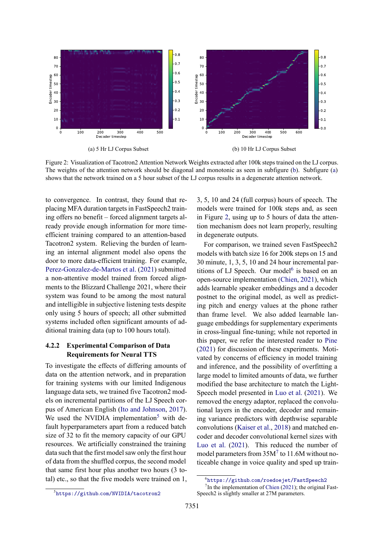<span id="page-5-0"></span>

Figure 2: Visualization of Tacotron2 Attention Network Weights extracted after 100k steps trained on the LJ corpus. The weights of the attention network should be diagonal and monotonic as seen in subfigure [\(b\)](#page-5-0). Subfigure [\(a\)](#page-5-0) shows that the network trained on a 5 hour subset of the LJ corpus results in a degenerate attention network.

to convergence. In contrast, they found that replacing MFA duration targets in FastSpeech2 training offers no benefit – forced alignment targets already provide enough information for more timeefficient training compared to an attention-based Tacotron2 system. Relieving the burden of learning an internal alignment model also opens the door to more data-efficient training. For example, [Perez-Gonzalez-de-Martos et al.](#page-10-17) [\(2021\)](#page-10-17) submitted a non-attentive model trained from forced alignments to the Blizzard Challenge 2021, where their system was found to be among the most natural and intelligible in subjective listening tests despite only using 5 hours of speech; all other submitted systems included often significant amounts of additional training data (up to 100 hours total).

### <span id="page-5-1"></span>**4.2.2 Experimental Comparison of Data Requirements for Neural TTS**

To investigate the effects of differing amounts of data on the attention network, and in preparation for training systems with our limited Indigenous language data sets, we trained five Tacotron2 models on incremental partitions of the LJ Speech corpus of American English [\(Ito and Johnson,](#page-9-16) [2017\)](#page-9-16). We used the NVIDIA implementation<sup>5</sup> with default hyperparameters apart from a reduced batch size of 32 to fit the memory capacity of our GPU resources. We artificially constrained the training data such that the first model saw only the first hour of data from the shuffled corpus, the second model that same first hour plus another two hours (3 total) etc., so that the five models were trained on 1, 3, 5, 10 and 24 (full corpus) hours of speech. The models were trained for 100k steps and, as seen in Figure [2,](#page-5-0) using up to 5 hours of data the attention mechanism does not learn properly, resulting in degenerate outputs.

For comparison, we trained seven FastSpeech2 models with batch size 16 for 200k steps on 15 and 30 minute, 1, 3, 5, 10 and 24 hour incremental partitions of LJ Speech. Our model<sup>6</sup> is based on an open-source implementation [\(Chien,](#page-9-17) [2021\)](#page-9-17), which adds learnable speaker embeddings and a decoder postnet to the original model, as well as predicting pitch and energy values at the phone rather than frame level. We also added learnable language embeddings for supplementary experiments in cross-lingual fine-tuning; while not reported in this paper, we refer the interested reader to [Pine](#page-10-18) [\(2021\)](#page-10-18) for discussion of these experiments. Motivated by concerns of efficiency in model training and inference, and the possibility of overfitting a large model to limited amounts of data, we further modified the base architecture to match the Light-Speech model presented in [Luo et al.](#page-10-19) [\(2021\)](#page-10-19). We removed the energy adaptor, replaced the convolutional layers in the encoder, decoder and remaining variance predictors with depthwise separable convolutions [\(Kaiser et al.,](#page-9-18) [2018\)](#page-9-18) and matched encoder and decoder convolutional kernel sizes with [Luo et al.](#page-10-19) [\(2021\)](#page-10-19). This reduced the number of model parameters from 35M<sup>7</sup> to 11.6M without noticeable change in voice quality and sped up train-

<sup>6</sup> https://github*.*[com/roedoejet/FastSpeech2](https://github.com/roedoejet/FastSpeech2)

 $<sup>7</sup>$  In the implementation of [Chien](#page-9-17) [\(2021\)](#page-9-17); the original Fast-</sup> Speech2 is slightly smaller at 27M parameters.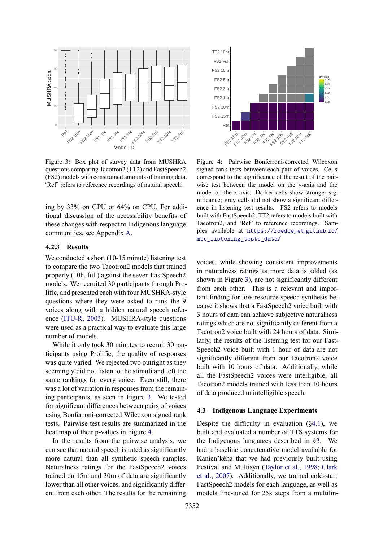<span id="page-6-0"></span>

Figure 3: Box plot of survey data from MUSHRA questions comparing Tacotron2 (TT2) and FastSpeech2 (FS2) models with constrained amounts of training data. 'Ref' refers to reference recordings of natural speech.

ing by 33% on GPU or 64% on CPU. For additional discussion of the accessibility benefits of these changes with respect to Indigenous language communities, see Appendix [A.](#page-11-8)

#### **4.2.3 Results**

We conducted a short (10-15 minute) listening test to compare the two Tacotron2 models that trained properly (10h, full) against the seven FastSpeech2 models. We recruited 30 participants through Prolific, and presented each with four MUSHRA-style questions where they were asked to rank the 9 voices along with a hidden natural speech reference [\(ITU-R,](#page-9-19) [2003\)](#page-9-19). MUSHRA-style questions were used as a practical way to evaluate this large number of models.

While it only took 30 minutes to recruit 30 participants using Prolific, the quality of responses was quite varied. We rejected two outright as they seemingly did not listen to the stimuli and left the same rankings for every voice. Even still, there was a lot of variation in responses from the remaining participants, as seen in Figure [3.](#page-6-0) We tested for significant differences between pairs of voices using Bonferroni-corrected Wilcoxon signed rank tests. Pairwise test results are summarized in the heat map of their p-values in Figure [4.](#page-6-1)

In the results from the pairwise analysis, we can see that natural speech is rated as significantly more natural than all synthetic speech samples. Naturalness ratings for the FastSpeech2 voices trained on 15m and 30m of data are significantly lower than all other voices, and significantly different from each other. The results for the remaining

<span id="page-6-1"></span>

Figure 4: Pairwise Bonferroni-corrected Wilcoxon signed rank tests between each pair of voices. Cells correspond to the significance of the result of the pairwise test between the model on the y-axis and the model on the x-axis. Darker cells show stronger significance; grey cells did not show a significant difference in listening test results. FS2 refers to models built with FastSpeech2, TT2 refers to models built with Tacotron2, and 'Ref' to reference recordings. Samples available at [https://roedoejet](https://roedoejet.github.io/msc_listening_tests_data/)*.*github*.*io/ [msc\\_listening\\_tests\\_data/](https://roedoejet.github.io/msc_listening_tests_data/)

voices, while showing consistent improvements in naturalness ratings as more data is added (as shown in Figure [3\)](#page-6-0), are not significantly different from each other. This is a relevant and important finding for low-resource speech synthesis because it shows that a FastSpeech2 voice built with 3 hours of data can achieve subjective naturalness ratings which are not significantly different from a Tacotron2 voice built with 24 hours of data. Similarly, the results of the listening test for our Fast-Speech2 voice built with 1 hour of data are not significantly different from our Tacotron2 voice built with 10 hours of data. Additionally, while all the FastSpeech2 voices were intelligible, all Tacotron2 models trained with less than 10 hours of data produced unintelligible speech.

#### **4.3 Indigenous Language Experiments**

Despite the difficulty in evaluation  $(\S 4.1)$ , we built and evaluated a number of TTS systems for the Indigenous languages described in [§3.](#page-2-1) We had a baseline concatenative model available for Kanien'kéha that we had previously built using Festival and Multisyn [\(Taylor et al.,](#page-10-20) [1998;](#page-10-20) [Clark](#page-9-20) [et al.,](#page-9-20) [2007\)](#page-9-20). Additionally, we trained cold-start FastSpeech2 models for each language, as well as models fine-tuned for 25k steps from a multilin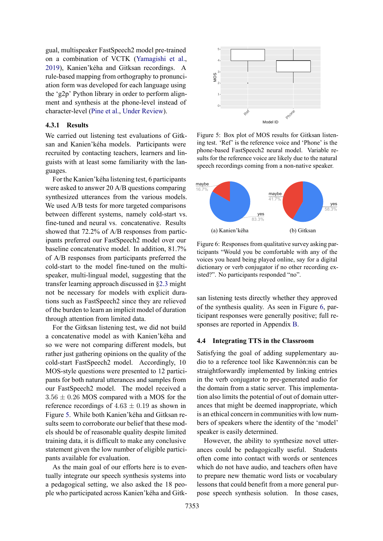gual, multispeaker FastSpeech2 model pre-trained on a combination of VCTK [\(Yamagishi et al.,](#page-11-9) [2019\)](#page-11-9), Kanien'kéha and Gitksan recordings. A rule-based mapping from orthography to pronunciation form was developed for each language using the 'g2p' Python library in order to perform alignment and synthesis at the phone-level instead of character-level [\(Pine et al.,](#page-10-21) [Under Review\)](#page-10-21).

### **4.3.1 Results**

We carried out listening test evaluations of Gitksan and Kanien'kéha models. Participants were recruited by contacting teachers, learners and linguists with at least some familiarity with the languages.

For the Kanien'kéha listening test, 6 participants were asked to answer 20 A/B questions comparing synthesized utterances from the various models. We used A/B tests for more targeted comparisons between different systems, namely cold-start vs. fine-tuned and neural vs. concatenative. Results showed that 72.2% of A/B responses from participants preferred our FastSpeech2 model over our baseline concatenative model. In addition, 81.7% of A/B responses from participants preferred the cold-start to the model fine-tuned on the multispeaker, multi-lingual model, suggesting that the transfer learning approach discussed in [§2.3](#page-1-1) might not be necessary for models with explicit durations such as FastSpeech2 since they are relieved of the burden to learn an implicit model of duration through attention from limited data.

For the Gitksan listening test, we did not build a concatenative model as with Kanien'kéha and so we were not comparing different models, but rather just gathering opinions on the quality of the cold-start FastSpeech2 model. Accordingly, 10 MOS-style questions were presented to 12 participants for both natural utterances and samples from our FastSpeech2 model. The model received a 3*.*56 *±* 0*.*26 MOS compared with a MOS for the reference recordings of  $4.63 \pm 0.19$  as shown in Figure [5.](#page-7-1) While both Kanien'kéha and Gitksan results seem to corroborate our belief that these models should be of reasonable quality despite limited training data, it is difficult to make any conclusive statement given the low number of eligible participants available for evaluation.

As the main goal of our efforts here is to eventually integrate our speech synthesis systems into a pedagogical setting, we also asked the 18 people who participated across Kanien'kéha and Gitk-

<span id="page-7-1"></span>

Figure 5: Box plot of MOS results for Gitksan listening test. 'Ref' is the reference voice and 'Phone' is the phone-based FastSpeech2 neural model. Variable results for the reference voice are likely due to the natural speech recordings coming from a non-native speaker.

<span id="page-7-2"></span>

Figure 6: Responses from qualitative survey asking participants "Would you be comfortable with any of the voices you heard being played online, say for a digital dictionary or verb conjugator if no other recording existed?". No participants responded "no".

san listening tests directly whether they approved of the synthesis quality. As seen in Figure [6,](#page-7-2) participant responses were generally positive; full responses are reported in Appendix [B.](#page-12-0)

### <span id="page-7-0"></span>**4.4 Integrating TTS in the Classroom**

Satisfying the goal of adding supplementary audio to a reference tool like Kawennón:nis can be straightforwardly implemented by linking entries in the verb conjugator to pre-generated audio for the domain from a static server. This implementation also limits the potential of out of domain utterances that might be deemed inappropriate, which is an ethical concern in communities with low numbers of speakers where the identity of the 'model' speaker is easily determined.

However, the ability to synthesize novel utterances could be pedagogically useful. Students often come into contact with words or sentences which do not have audio, and teachers often have to prepare new thematic word lists or vocabulary lessons that could benefit from a more general purpose speech synthesis solution. In those cases,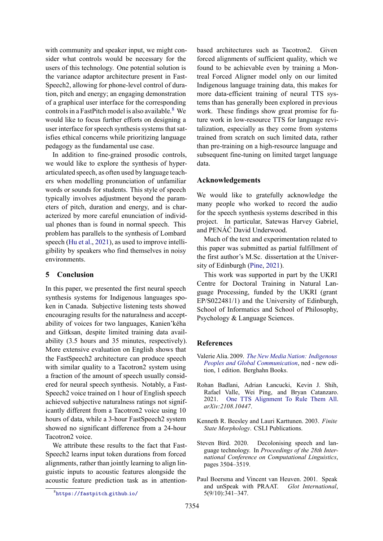with community and speaker input, we might consider what controls would be necessary for the users of this technology. One potential solution is the variance adaptor architecture present in Fast-Speech2, allowing for phone-level control of duration, pitch and energy; an engaging demonstration of a graphical user interface for the corresponding controls in a FastPitch model is also available.<sup>8</sup> We would like to focus further efforts on designing a user interface for speech synthesis systems that satisfies ethical concerns while prioritizing language pedagogy as the fundamental use case.

In addition to fine-grained prosodic controls, we would like to explore the synthesis of hyperarticulated speech, as often used by language teachers when modelling pronunciation of unfamiliar words or sounds for students. This style of speech typically involves adjustment beyond the parameters of pitch, duration and energy, and is characterized by more careful enunciation of individual phones than is found in normal speech. This problem has parallels to the synthesis of Lombard speech [\(Hu et al.,](#page-9-21) [2021\)](#page-9-21), as used to improve intelligibility by speakers who find themselves in noisy environments.

# **5 Conclusion**

In this paper, we presented the first neural speech synthesis systems for Indigenous languages spoken in Canada. Subjective listening tests showed encouraging results for the naturalness and acceptability of voices for two languages, Kanien'kéha and Gitksan, despite limited training data availability (3.5 hours and 35 minutes, respectively). More extensive evaluation on English shows that the FastSpeech2 architecture can produce speech with similar quality to a Tacotron2 system using a fraction of the amount of speech usually considered for neural speech synthesis. Notably, a Fast-Speech2 voice trained on 1 hour of English speech achieved subjective naturalness ratings not significantly different from a Tacotron2 voice using 10 hours of data, while a 3-hour FastSpeech2 system showed no significant difference from a 24-hour Tacotron2 voice.

We attribute these results to the fact that Fast-Speech2 learns input token durations from forced alignments, rather than jointly learning to align linguistic inputs to acoustic features alongside the acoustic feature prediction task as in attentionbased architectures such as Tacotron2. Given forced alignments of sufficient quality, which we found to be achievable even by training a Montreal Forced Aligner model only on our limited Indigenous language training data, this makes for more data-efficient training of neural TTS systems than has generally been explored in previous work. These findings show great promise for future work in low-resource TTS for language revitalization, especially as they come from systems trained from scratch on such limited data, rather than pre-training on a high-resource language and subsequent fine-tuning on limited target language data.

#### **Acknowledgements**

We would like to gratefully acknowledge the many people who worked to record the audio for the speech synthesis systems described in this project. In particular, Satewas Harvey Gabriel, and PENÁĆ David Underwood.

Much of the text and experimentation related to this paper was submitted as partial fulfillment of the first author's M.Sc. dissertation at the University of Edinburgh [\(Pine,](#page-10-18) [2021\)](#page-10-18).

This work was supported in part by the UKRI Centre for Doctoral Training in Natural Language Processing, funded by the UKRI (grant EP/S022481/1) and the University of Edinburgh, School of Informatics and School of Philosophy, Psychology & Language Sciences.

### **References**

- <span id="page-8-4"></span>Valerie Alia. 2009. *[The New Media Nation: Indigenous](https://www.jstor.org/stable/j.ctt9qd5x7) [Peoples and Global Communication](https://www.jstor.org/stable/j.ctt9qd5x7)*, ned - new edition, 1 edition. Berghahn Books.
- <span id="page-8-3"></span>Rohan Badlani, Adrian Łancucki, Kevin J. Shih, Rafael Valle, Wei Ping, and Bryan Catanzaro. 2021. [One TTS Alignment To Rule Them All.](http://arxiv.org/abs/2108.10447) *arXiv:2108.10447*.
- <span id="page-8-1"></span>Kenneth R. Beesley and Lauri Karttunen. 2003. *Finite State Morphology*. CSLI Publications.
- <span id="page-8-0"></span>Steven Bird. 2020. Decolonising speech and language technology. In *Proceedings of the 28th International Conference on Computational Linguistics*, pages 3504–3519.
- <span id="page-8-2"></span>Paul Boersma and Vincent van Heuven. 2001. Speak and unSpeak with PRAAT. *Glot International*, 5(9/10):341–347.

<sup>8</sup> [https://fastpitch](https://fastpitch.github.io/)*.*github*.*io/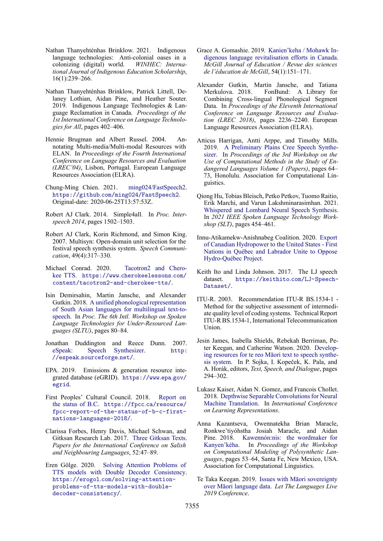- <span id="page-9-9"></span>Nathan Thanyehténhas Brinklow. 2021. Indigenous language technologies: Anti-colonial oases in a colonizing (digital) world. *WINHEC: International Journal of Indigenous Education Scholarship*, 16(1):239–266.
- <span id="page-9-0"></span>Nathan Thanyehténhas Brinklow, Patrick Littell, Delaney Lothian, Aidan Pine, and Heather Souter. 2019. Indigenous Language Technologies & Language Reclamation in Canada. *Proceedings of the 1st International Conference on Language Technologies for All*, pages 402–406.
- <span id="page-9-11"></span>Hennie Brugman and Albert Russel. 2004. Annotating Multi-media/Multi-modal Resources with ELAN. In *Proceedings of the Fourth International Conference on Language Resources and Evaluation (LREC'04)*, Lisbon, Portugal. European Language Resources Association (ELRA).
- <span id="page-9-17"></span>Chung-Ming Chien. 2021. [ming024/FastSpeech2](https://github.com/ming024/FastSpeech2). https://github*.*[com/ming024/FastSpeech2](https://github.com/ming024/FastSpeech2). Original-date: 2020-06-25T13:57:53Z.
- <span id="page-9-5"></span>Robert AJ Clark. 2014. Simple4all. In *Proc. Interspeech 2014*, pages 1502–1503.
- <span id="page-9-20"></span>Robert AJ Clark, Korin Richmond, and Simon King. 2007. Multisyn: Open-domain unit selection for the festival speech synthesis system. *Speech Communication*, 49(4):317–330.
- <span id="page-9-7"></span>Michael Conrad. 2020. [Tacotron2 and Chero](https://www.cherokeelessons.com/content/tacotron2-and-cherokee-tts/)[kee TTS](https://www.cherokeelessons.com/content/tacotron2-and-cherokee-tts/). https://www*.*[cherokeelessons](https://www.cherokeelessons.com/content/tacotron2-and-cherokee-tts/)*.*com/ [content/tacotron2-and-cherokee-tts/](https://www.cherokeelessons.com/content/tacotron2-and-cherokee-tts/).
- <span id="page-9-2"></span>Isin Demirsahin, Martin Jansche, and Alexander Gutkin. 2018. [A unified phonological representation](http://dx.doi.org/10.21437/SLTU.2018-17) [of South Asian languages for multilingual text-to](http://dx.doi.org/10.21437/SLTU.2018-17)[speech.](http://dx.doi.org/10.21437/SLTU.2018-17) In *Proc. The 6th Intl. Workshop on Spoken Language Technologies for Under-Resourced Languages (SLTU)*, pages 80–84.
- <span id="page-9-6"></span>Jonathan Duddington and Reece Dunn. 2007. [eSpeak: Speech Synthesizer.](http://espeak.sourceforge.net/) [http:](http://espeak.sourceforge.net/) //espeak*.*[sourceforge](http://espeak.sourceforge.net/)*.*net/.
- <span id="page-9-22"></span>EPA. 2019. Emissions & generation resource integrated database (eGRID). [https://www](https://www.epa.gov/egrid)*.*epa*.*gov/ [egrid](https://www.epa.gov/egrid).
- <span id="page-9-12"></span>First Peoples' Cultural Council. 2018. [Report on](https://fpcc.ca/resource/fpcc-report-of-the-status-of-b-c-first-nations-languages-2018/) [the status of B.C.](https://fpcc.ca/resource/fpcc-report-of-the-status-of-b-c-first-nations-languages-2018/) [https://fpcc](https://fpcc.ca/resource/fpcc-report-of-the-status-of-b-c-first-nations-languages-2018/)*.*ca/resource/ [fpcc-report-of-the-status-of-b-c-first](https://fpcc.ca/resource/fpcc-report-of-the-status-of-b-c-first-nations-languages-2018/)[nations-languages-2018/](https://fpcc.ca/resource/fpcc-report-of-the-status-of-b-c-first-nations-languages-2018/).
- <span id="page-9-13"></span>Clarissa Forbes, Henry Davis, Michael Schwan, and Gitksan Research Lab. 2017. [Three Gitksan Texts](https://lingpapers.sites.olt.ubc.ca/files/2017/08/Gitlab_3Stories_final.pdf). *Papers for the International Conference on Salish and Neighbouring Languages*, 52:47–89.
- <span id="page-9-15"></span>Eren Gölge. 2020. [Solving Attention Problems of](http://erogol.com/solving-attention-problems-of-tts-models-with-double-decoder-consistency/) [TTS models with Double Decoder Consistency](http://erogol.com/solving-attention-problems-of-tts-models-with-double-decoder-consistency/). https://erogol*.*[com/solving-attention](https://erogol.com/solving-attention-problems-of-tts-models-with-double-decoder-consistency/)[problems-of-tts-models-with-double](https://erogol.com/solving-attention-problems-of-tts-models-with-double-decoder-consistency/)[decoder-consistency/](https://erogol.com/solving-attention-problems-of-tts-models-with-double-decoder-consistency/).
- <span id="page-9-10"></span>Grace A. Gomashie. 2019. [Kanien'keha / Mohawk In](https://doi.org/https://doi.org/10.7202/1060864ar)[digenous language revitalisation efforts in Canada.](https://doi.org/https://doi.org/10.7202/1060864ar) *McGill Journal of Education / Revue des sciences de l'éducation de McGill*, 54(1):151–171.
- <span id="page-9-3"></span>Alexander Gutkin, Martin Jansche, and Tatiana Merkulova. 2018. FonBund: A Library for Combining Cross-lingual Phonological Segment Data. In *Proceedings of the Eleventh International Conference on Language Resources and Evaluation (LREC 2018)*, pages 2236–2240. European Language Resources Association (ELRA).
- <span id="page-9-4"></span>Atticus Harrigan, Antti Arppe, and Timothy Mills. 2019. [A Preliminary Plains Cree Speech Synthe](https://aclanthology.org/W19-6009)[sizer.](https://aclanthology.org/W19-6009) In *Proceedings of the 3rd Workshop on the Use of Computational Methods in the Study of Endangered Languages Volume 1 (Papers)*, pages 64– 73, Honolulu. Association for Computational Linguistics.
- <span id="page-9-21"></span>Qiong Hu, Tobias Bleisch, Petko Petkov, Tuomo Raitio, Erik Marchi, and Varun Lakshminarasimhan. 2021. [Whispered and Lombard Neural Speech Synthesis.](https://doi.org/10.1109/SLT48900.2021.9383454) In *2021 IEEE Spoken Language Technology Workshop (SLT)*, pages 454–461.
- <span id="page-9-23"></span>Innu-Atikamekw-Anishnabeg Coalition. 2020. [Export](https://www.newswire.ca/news-releases/export-of-canadian-hydropower-to-the-united-states-first-nations-in-quebec-and-labrador-unite-to-oppose-hydro-quebec-project-845431188.html) [of Canadian Hydropower to the United States - First](https://www.newswire.ca/news-releases/export-of-canadian-hydropower-to-the-united-states-first-nations-in-quebec-and-labrador-unite-to-oppose-hydro-quebec-project-845431188.html) [Nations in Québec and Labrador Unite to Oppose](https://www.newswire.ca/news-releases/export-of-canadian-hydropower-to-the-united-states-first-nations-in-quebec-and-labrador-unite-to-oppose-hydro-quebec-project-845431188.html) [Hydro-Québec Project.](https://www.newswire.ca/news-releases/export-of-canadian-hydropower-to-the-united-states-first-nations-in-quebec-and-labrador-unite-to-oppose-hydro-quebec-project-845431188.html)
- <span id="page-9-16"></span>Keith Ito and Linda Johnson. 2017. The LJ speech dataset. [https://keithito](https://keithito.com/LJ-Speech-Dataset/)*.*com/LJ-Speech-[Dataset/](https://keithito.com/LJ-Speech-Dataset/).
- <span id="page-9-19"></span>ITU-R. 2003. Recommendation ITU-R BS.1534-1 - Method for the subjective assessment of intermediate quality level of coding systems. Technical Report ITU-R BS.1534-1, International Telecommunication Union.
- <span id="page-9-14"></span>Jesin James, Isabella Shields, Rebekah Berriman, Peter Keegan, and Catherine Watson. 2020. [Develop](https://doi.org/10.1007/978-3-030-58323-1_32)[ing resources for te reo Māori text to speech synthe](https://doi.org/10.1007/978-3-030-58323-1_32)[sis system.](https://doi.org/10.1007/978-3-030-58323-1_32) In P. Sojka, I. Kopeček, K. Pala, and A. Horák, editors, *Text, Speech, and Dialogue*, pages 294–302.
- <span id="page-9-18"></span>Lukasz Kaiser, Aidan N. Gomez, and Francois Chollet. 2018. [Depthwise Separable Convolutions for Neural](https://openreview.net/forum?id=S1jBcueAb) [Machine Translation.](https://openreview.net/forum?id=S1jBcueAb) In *International Conference on Learning Representations*.
- <span id="page-9-1"></span>Anna Kazantseva, Owennatekha Brian Maracle, Ronkwe'tiyóhstha Josiah Maracle, and Aidan Pine. 2018. [Kawennón:nis: the wordmaker for](https://aclanthology.org/W18-4806) [Kanyen'kéha](https://aclanthology.org/W18-4806). In *Proceedings of the Workshop on Computational Modeling of Polysynthetic Languages*, pages 53–64, Santa Fe, New Mexico, USA. Association for Computational Linguistics.
- <span id="page-9-8"></span>Te Taka Keegan. 2019. [Issues with Māori sovereignty](https://www.youtube.com/watch?v=fodGN4kaEcI) [over Māori language data](https://www.youtube.com/watch?v=fodGN4kaEcI). *Let The Languages Live 2019 Conference*.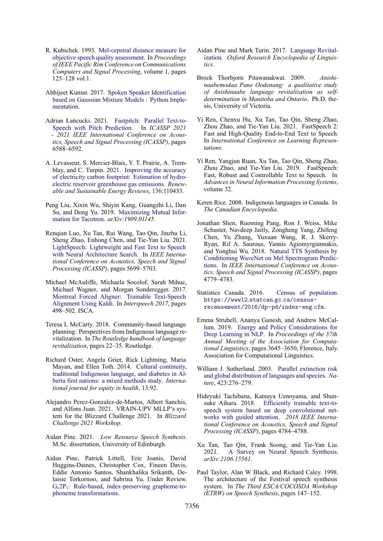- <span id="page-10-9"></span>R. Kubichek. 1993. [Mel-cepstral distance measure for](https://doi.org/10.1109/PACRIM.1993.407206) [objective speech quality assessment](https://doi.org/10.1109/PACRIM.1993.407206). In *Proceedings of IEEE Pacific Rim Conference on Communications Computers and Signal Processing*, volume 1, pages 125–128 vol.1.
- <span id="page-10-8"></span>Abhijeet Kumar. 2017. [Spoken Speaker Identification](https://appliedmachinelearning.blog/2017/11/14/spoken-speaker-identification-based-on-gaussian-mixture-models-python-implementation/) [based on Gaussian Mixture Models : Python Imple](https://appliedmachinelearning.blog/2017/11/14/spoken-speaker-identification-based-on-gaussian-mixture-models-python-implementation/)[mentation.](https://appliedmachinelearning.blog/2017/11/14/spoken-speaker-identification-based-on-gaussian-mixture-models-python-implementation/)
- <span id="page-10-14"></span>Adrian Łańcucki. 2021. [Fastpitch: Parallel Text-to-](https://doi.org/10.1109/ICASSP39728.2021.9413889)[Speech with Pitch Prediction](https://doi.org/10.1109/ICASSP39728.2021.9413889). In *ICASSP 2021 - 2021 IEEE International Conference on Acoustics, Speech and Signal Processing (ICASSP)*, pages 6588–6592.
- <span id="page-10-23"></span>A. Levasseur, S. Mercier-Blais, Y. T. Prairie, A. Tremblay, and C. Turpin. 2021. [Improving the accuracy](https://doi.org/10.1016/j.rser.2020.110433) [of electricity carbon footprint: Estimation of hydro](https://doi.org/10.1016/j.rser.2020.110433)[electric reservoir greenhouse gas emissions.](https://doi.org/10.1016/j.rser.2020.110433) *Renewable and Sustainable Energy Reviews*, 136:110433.
- <span id="page-10-11"></span>Peng Liu, Xixin Wu, Shiyin Kang, Guangzhi Li, Dan Su, and Dong Yu. 2019. [Maximizing Mutual Infor](http://arxiv.org/abs/1909.01145)[mation for Tacotron](http://arxiv.org/abs/1909.01145). *arXiv:1909.01145*.
- <span id="page-10-19"></span>Renqian Luo, Xu Tan, Rui Wang, Tao Qin, Jinzhu Li, Sheng Zhao, Enhong Chen, and Tie-Yan Liu. 2021. [LightSpeech: Lightweight and Fast Text to Speech](https://ieeexplore.ieee.org/document/9414403) [with Neural Architecture Search.](https://ieeexplore.ieee.org/document/9414403) In *IEEE International Conference on Acoustics, Speech and Signal Processing (ICASSP)*, pages 5699–5703.
- <span id="page-10-16"></span>Michael McAuliffe, Michaela Socolof, Sarah Mihuc, Michael Wagner, and Morgan Sonderegger. 2017. [Montreal Forced Aligner: Trainable Text-Speech](https://doi.org/10.21437/Interspeech.2017-1386) [Alignment Using Kaldi](https://doi.org/10.21437/Interspeech.2017-1386). In *Interspeech 2017*, pages 498–502. ISCA.
- <span id="page-10-5"></span>Teresa L McCarty. 2018. Community-based language planning: Perspectives from Indigenous language revitalization. In *The Routledge handbook of language revitalization*, pages 22–35. Routledge.
- <span id="page-10-6"></span>Richard Oster, Angela Grier, Rick Lightning, Maria Mayan, and Ellen Toth. 2014. [Cultural continuity,](https://doi.org/10.1186/s12939-014-0092-4) [traditional Indigenous language, and diabetes in Al](https://doi.org/10.1186/s12939-014-0092-4)[berta first nations: a mixed methods study](https://doi.org/10.1186/s12939-014-0092-4). *International journal for equity in health*, 13:92.
- <span id="page-10-17"></span>Alejandro Perez-Gonzalez-de-Martos, Albert Sanchis, and Alfons Juan. 2021. VRAIN-UPV MLLP's system for the Blizzard Challenge 2021. In *Blizzard Challenge 2021 Workshop*.
- <span id="page-10-18"></span>Aidan Pine. 2021. *Low Resource Speech Synthesis*. M.Sc. dissertation, University of Edinburgh.
- <span id="page-10-21"></span>Aidan Pine, Patrick Littell, Eric Joanis, David Huggins-Daines, Christopher Cox, Fineen Davis, Eddie Antonio Santos, Shankhalika Srikanth, Delaisie Torkornoo, and Sabrina Yu. Under Review. G*i*2P*<sup>i</sup>* [: Rule-based, index-preserving grapheme-to](https://github.com/roedoejet/g2p)[phoneme transformations](https://github.com/roedoejet/g2p).
- <span id="page-10-3"></span>Aidan Pine and Mark Turin. 2017. [Language Revital](https://doi.org/10.1093/acrefore/9780199384655.013.8)[ization](https://doi.org/10.1093/acrefore/9780199384655.013.8). *Oxford Research Encyclopedia of Linguistics*.
- <span id="page-10-4"></span>Brock Thorbjorn Pitawanakwat. 2009. *Anishinaabemodaa Pane Oodenang: a qualitative study of Anishinaabe language revitalization as selfdetermination in Manitoba and Ontario*. Ph.D. thesis, University of Victoria.
- <span id="page-10-13"></span>Yi Ren, Chenxu Hu, Xu Tan, Tao Qin, Sheng Zhao, Zhou Zhao, and Tie-Yan Liu. 2021. FastSpeech 2: Fast and High-Quality End-to-End Text to Speech. In *International Conference on Learning Representations*.
- <span id="page-10-15"></span>Yi Ren, Yangjun Ruan, Xu Tan, Tao Qin, Sheng Zhao, Zhou Zhao, and Tie-Yan Liu. 2019. FastSpeech: Fast, Robust and Controllable Text to Speech. In *Advances in Neural Information Processing Systems*, volume 32.
- <span id="page-10-0"></span>Keren Rice. 2008. Indigenous languages in Canada. In *The Canadian Encyclopedia*.
- <span id="page-10-10"></span>Jonathan Shen, Ruoming Pang, Ron J. Weiss, Mike Schuster, Navdeep Jaitly, Zongheng Yang, Zhifeng Chen, Yu Zhang, Yuxuan Wang, R. J. Skerry-Ryan, Rif A. Saurous, Yannis Agiomyrgiannakis, and Yonghui Wu. 2018. [Natural TTS Synthesis by](https://ieeexplore.ieee.org/abstract/document/8461368) [Conditioning WaveNet on Mel Spectrogram Predic](https://ieeexplore.ieee.org/abstract/document/8461368)[tions](https://ieeexplore.ieee.org/abstract/document/8461368). In *IEEE International Conference on Acoustics, Speech and Signal Processing (ICASSP)*, pages 4779–4783.
- <span id="page-10-1"></span>Statistics Canada. 2016. [Census of population.](https://www12.statcan.gc.ca/census-recensement/2016/dp-pd/index-eng.cfm) [https://www12](https://www12.statcan.gc.ca/census-recensement/2016/dp-pd/index-eng.cfm)*.*statcan*.*gc*.*ca/census[recensement/2016/dp-pd/index-eng](https://www12.statcan.gc.ca/census-recensement/2016/dp-pd/index-eng.cfm)*.*cfm.
- <span id="page-10-22"></span>Emma Strubell, Ananya Ganesh, and Andrew McCallum. 2019. [Energy and Policy Considerations for](https://doi.org/10.18653/v1/P19-1355) [Deep Learning in NLP](https://doi.org/10.18653/v1/P19-1355). In *Proceedings of the 57th Annual Meeting of the Association for Computational Linguistics*, pages 3645–3650, Florence, Italy. Association for Computational Linguistics.
- <span id="page-10-2"></span>William J. Sutherland. 2003. [Parallel extinction risk](https://doi.org/10.1038/nature01607) [and global distribution of languages and species](https://doi.org/10.1038/nature01607). *Nature*, 423:276–279.
- <span id="page-10-12"></span>Hideyuki Tachibana, Katsuya Uenoyama, and Shunsuke Aihara. 2018. [Efficiently trainable text-to](https://doi.org/10.1109/icassp.2018.8461829)[speech system based on deep convolutional net](https://doi.org/10.1109/icassp.2018.8461829)[works with guided attention.](https://doi.org/10.1109/icassp.2018.8461829) *2018 IEEE International Conference on Acoustics, Speech and Signal Processing (ICASSP)*, pages 4784–4788.
- <span id="page-10-7"></span>Xu Tan, Tao Qin, Frank Soong, and Tie-Yan Liu. 2021. [A Survey on Neural Speech Synthesis.](http://arxiv.org/abs/2106.15561) *arXiv:2106.15561*.
- <span id="page-10-20"></span>Paul Taylor, Alan W Black, and Richard Caley. 1998. The architecture of the Festival speech synthesis system. In *The Third ESCA/COCOSDA Workshop (ETRW) on Speech Synthesis*, pages 147–152.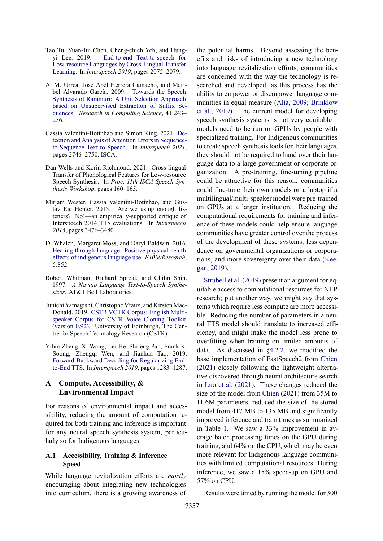- <span id="page-11-1"></span>Tao Tu, Yuan-Jui Chen, Cheng-chieh Yeh, and Hungyi Lee. 2019. [End-to-end Text-to-speech for](https://www.isca-speech.org/archive/interspeech_2019/chen19f_interspeech.html) [Low-resource Languages by Cross-Lingual Transfer](https://www.isca-speech.org/archive/interspeech_2019/chen19f_interspeech.html) [Learning.](https://www.isca-speech.org/archive/interspeech_2019/chen19f_interspeech.html) In *Interspeech 2019*, pages 2075–2079.
- <span id="page-11-4"></span>A. M. Urrea, José Abel Herrera Camacho, and Maribel Alvarado García. 2009. [Towards the Speech](https://www.semanticscholar.org/paper/Towards-the-Speech-Synthesis-of-Raramuri%3A-A-Unit-on-Urrea-Camacho/fe43914e0f484a81436c73939dda5b24290806e6) [Synthesis of Raramuri: A Unit Selection Approach](https://www.semanticscholar.org/paper/Towards-the-Speech-Synthesis-of-Raramuri%3A-A-Unit-on-Urrea-Camacho/fe43914e0f484a81436c73939dda5b24290806e6) [based on Unsupervised Extraction of Suffix Se](https://www.semanticscholar.org/paper/Towards-the-Speech-Synthesis-of-Raramuri%3A-A-Unit-on-Urrea-Camacho/fe43914e0f484a81436c73939dda5b24290806e6)[quences.](https://www.semanticscholar.org/paper/Towards-the-Speech-Synthesis-of-Raramuri%3A-A-Unit-on-Urrea-Camacho/fe43914e0f484a81436c73939dda5b24290806e6) *Research in Computing Science*, 41:243– 256.
- <span id="page-11-6"></span>Cassia Valentini-Botinhao and Simon King. 2021. [De](https://doi.org/10.21437/Interspeech.2021-286)[tection and Analysis of Attention Errors in Sequence](https://doi.org/10.21437/Interspeech.2021-286)[to-Sequence Text-to-Speech](https://doi.org/10.21437/Interspeech.2021-286). In *Interspeech 2021*, pages 2746–2750. ISCA.
- <span id="page-11-2"></span>Dan Wells and Korin Richmond. 2021. Cross-lingual Transfer of Phonological Features for Low-resource Speech Synthesis. In *Proc. 11th ISCA Speech Synthesis Workshop*, pages 160–165.
- <span id="page-11-5"></span>Mirjam Wester, Cassia Valentini-Botinhao, and Gustav Eje Henter. 2015. Are we using enough listeners? No!—an empirically-supported critique of Interspeech 2014 TTS evaluations. In *Interspeech 2015*, pages 3476–3480.
- <span id="page-11-0"></span>D. Whalen, Margaret Moss, and Daryl Baldwin. 2016. [Healing through language: Positive physical health](https://doi.org/10.12688/f1000research.8656.1) [effects of indigenous language use](https://doi.org/10.12688/f1000research.8656.1). *F1000Research*, 5:852.
- <span id="page-11-3"></span>Robert Whitman, Richard Sproat, and Chilin Shih. 1997. *A Navajo Language Text-to-Speech Synthesizer*. AT&T Bell Laboratories.
- <span id="page-11-9"></span>Junichi Yamagishi, Christophe Veaux, and Kirsten Mac-Donald. 2019. [CSTR VCTK Corpus: English Multi](https://doi.org/10.7488/ds/2645)[speaker Corpus for CSTR Voice Cloning Toolkit](https://doi.org/10.7488/ds/2645) [\(version 0.92\)](https://doi.org/10.7488/ds/2645). University of Edinburgh, The Centre for Speech Technology Research (CSTR).
- <span id="page-11-7"></span>Yibin Zheng, Xi Wang, Lei He, Shifeng Pan, Frank K. Soong, Zhengqi Wen, and Jianhua Tao. 2019. [Forward-Backward Decoding for Regularizing End](http://arxiv.org/abs/1907.09006)[to-End TTS.](http://arxiv.org/abs/1907.09006) In *Interspeech 2019*, pages 1283–1287.

# <span id="page-11-8"></span>**A Compute, Accessibility, & Environmental Impact**

For reasons of environmental impact and accessibility, reducing the amount of computation required for both training and inference is important for any neural speech synthesis system, particularly so for Indigenous languages.

# **A.1 Accessibility, Training & Inference Speed**

While language revitalization efforts are *mostly* encouraging about integrating new technologies into curriculum, there is a growing awareness of the potential harms. Beyond assessing the benefits and risks of introducing a new technology into language revitalization efforts, communities are concerned with the way the technology is researched and developed, as this process has the ability to empower or disempower language communities in equal measure [\(Alia,](#page-8-4) [2009;](#page-8-4) [Brinklow](#page-9-0) [et al.,](#page-9-0) [2019\)](#page-9-0). The current model for developing speech synthesis systems is not very equitable – models need to be run on GPUs by people with specialized training. For Indigenous communities to create speech synthesis tools for their languages, they should not be required to hand over their language data to a large government or corporate organization. A pre-training, fine-tuning pipeline could be attractive for this reason; communities could fine-tune their own models on a laptop if a multilingual/multi-speaker model were pre-trained on GPUs at a larger institution. Reducing the computational requirements for training and inference of these models could help ensure language communities have greater control over the process of the development of these systems, less dependence on governmental organizations or corporations, and more sovereignty over their data [\(Kee](#page-9-8)[gan,](#page-9-8) [2019\)](#page-9-8).

[Strubell et al.](#page-10-22) [\(2019\)](#page-10-22) present an argument for equitable access to computational resources for NLP research; put another way, we might say that systems which require less compute are more accessible. Reducing the number of parameters in a neural TTS model should translate to increased efficiency, and might make the model less prone to overfitting when training on limited amounts of data. As discussed in [§4.2.2,](#page-5-1) we modified the base implementation of FastSpeech2 from [Chien](#page-9-17) [\(2021\)](#page-9-17) closely following the lightweight alternative discovered through neural architecture search in [Luo et al.](#page-10-19) [\(2021\)](#page-10-19). These changes reduced the size of the model from [Chien](#page-9-17) [\(2021\)](#page-9-17) from 35M to 11.6M parameters, reduced the size of the stored model from 417 MB to 135 MB and significantly improved inference and train times as summarized in Table [1.](#page-12-1) We saw a 33% improvement in average batch processing times on the GPU during training, and 64% on the CPU, which may be even more relevant for Indigenous language communities with limited computational resources. During inference, we saw a 15% speed-up on GPU and 57% on CPU.

Results were timed by running the model for 300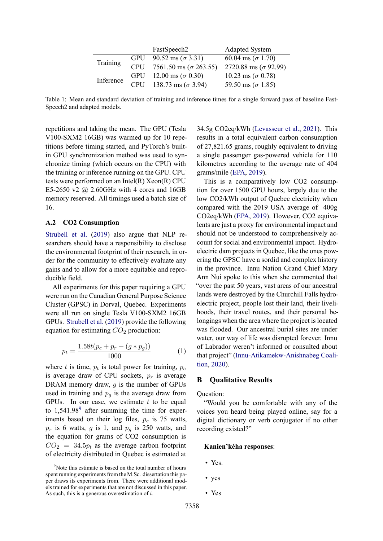<span id="page-12-1"></span>

|           |            | FastSpeech2                   | <b>Adapted System</b>        |
|-----------|------------|-------------------------------|------------------------------|
| Training  | <b>GPU</b> | 90.52 ms ( $\sigma$ 3.31)     | 60.04 ms ( $\sigma$ 1.70)    |
|           | <b>CPU</b> | 7561.50 ms ( $\sigma$ 263.55) | 2720.88 ms ( $\sigma$ 92.99) |
| Inference |            | GPU 12.00 ms ( $\sigma$ 0.30) | 10.23 ms ( $\sigma$ 0.78)    |
|           | <b>CPU</b> | 138.73 ms ( $\sigma$ 3.94)    | 59.50 ms ( $\sigma$ 1.85)    |

Table 1: Mean and standard deviation of training and inference times for a single forward pass of baseline Fast-Speech2 and adapted models.

repetitions and taking the mean. The GPU (Tesla V100-SXM2 16GB) was warmed up for 10 repetitions before timing started, and PyTorch's builtin GPU synchronization method was used to synchronize timing (which occurs on the CPU) with the training or inference running on the GPU. CPU tests were performed on an Intel(R) Xeon(R) CPU E5-2650 v2  $\omega$  2.60GHz with 4 cores and 16GB memory reserved. All timings used a batch size of 16.

#### **A.2 CO2 Consumption**

[Strubell et al.](#page-10-22) [\(2019\)](#page-10-22) also argue that NLP researchers should have a responsibility to disclose the environmental footprint of their research, in order for the community to effectively evaluate any gains and to allow for a more equitable and reproducible field.

All experiments for this paper requiring a GPU were run on the Canadian General Purpose Science Cluster (GPSC) in Dorval, Quebec. Experiments were all run on single Tesla V100-SXM2 16GB GPUs. [Strubell et al.](#page-10-22) [\(2019\)](#page-10-22) provide the following equation for estimating *CO*<sup>2</sup> production:

$$
p_t = \frac{1.58t(p_c + p_r + (g * p_g))}{1000} \tag{1}
$$

where *t* is time,  $p_t$  is total power for training,  $p_c$ is average draw of CPU sockets,  $p_r$  is average DRAM memory draw, *g* is the number of GPUs used in training and  $p<sub>g</sub>$  is the average draw from GPUs. In our case, we estimate *t* to be equal to  $1,541.98<sup>9</sup>$  after summing the time for experiments based on their log files, *p<sup>c</sup>* is 75 watts,  $p_r$  is 6 watts, *g* is 1, and  $p_q$  is 250 watts, and the equation for grams of CO2 consumption is  $CO<sub>2</sub> = 34.5p<sub>t</sub>$  as the average carbon footprint of electricity distributed in Quebec is estimated at

34.5g CO2eq/kWh [\(Levasseur et al.,](#page-10-23) [2021\)](#page-10-23). This results in a total equivalent carbon consumption of 27,821.65 grams, roughly equivalent to driving a single passenger gas-powered vehicle for 110 kilometres according to the average rate of 404 grams/mile [\(EPA,](#page-9-22) [2019\)](#page-9-22).

This is a comparatively low CO2 consumption for over 1500 GPU hours, largely due to the low CO2/kWh output of Quebec electricity when compared with the 2019 USA average of 400g CO2eq/kWh [\(EPA,](#page-9-22) [2019\)](#page-9-22). However, CO2 equivalents are just a proxy for environmental impact and should not be understood to comprehensively account for social and environmental impact. Hydroelectric dam projects in Quebec, like the ones powering the GPSC have a sordid and complex history in the province. Innu Nation Grand Chief Mary Ann Nui spoke to this when she commented that "over the past 50 years, vast areas of our ancestral lands were destroyed by the Churchill Falls hydroelectric project, people lost their land, their livelihoods, their travel routes, and their personal belongings when the area where the project is located was flooded. Our ancestral burial sites are under water, our way of life was disrupted forever. Innu of Labrador weren't informed or consulted about that project" [\(Innu-Atikamekw-Anishnabeg Coali](#page-9-23)[tion,](#page-9-23) [2020\)](#page-9-23).

### <span id="page-12-0"></span>**B Qualitative Results**

Question:

"Would you be comfortable with any of the voices you heard being played online, say for a digital dictionary or verb conjugator if no other recording existed?"

#### **Kanien'kéha responses**:

- Yes.
- yes
- Yes

<sup>&</sup>lt;sup>9</sup>Note this estimate is based on the total number of hours spent running experiments from the M.Sc. dissertation this paper draws its experiments from. There were additional models trained for experiments that are not discussed in this paper. As such, this is a generous overestimation of *t*.